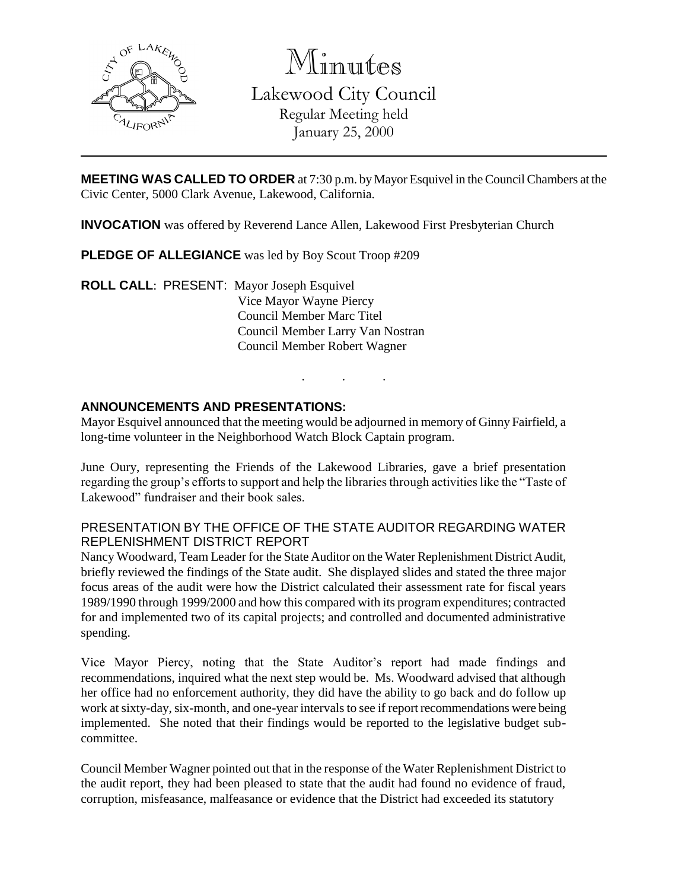

Minutes

Lakewood City Council Regular Meeting held January 25, 2000

**MEETING WAS CALLED TO ORDER** at 7:30 p.m. by Mayor Esquivel in the Council Chambers at the Civic Center, 5000 Clark Avenue, Lakewood, California.

**INVOCATION** was offered by Reverend Lance Allen, Lakewood First Presbyterian Church

**PLEDGE OF ALLEGIANCE** was led by Boy Scout Troop #209

**ROLL CALL**: PRESENT: Mayor Joseph Esquivel Vice Mayor Wayne Piercy Council Member Marc Titel Council Member Larry Van Nostran Council Member Robert Wagner

## **ANNOUNCEMENTS AND PRESENTATIONS:**

Mayor Esquivel announced that the meeting would be adjourned in memory of Ginny Fairfield, a long-time volunteer in the Neighborhood Watch Block Captain program.

. . .

June Oury, representing the Friends of the Lakewood Libraries, gave a brief presentation regarding the group's efforts to support and help the libraries through activities like the "Taste of Lakewood" fundraiser and their book sales.

#### PRESENTATION BY THE OFFICE OF THE STATE AUDITOR REGARDING WATER REPLENISHMENT DISTRICT REPORT

Nancy Woodward, Team Leader for the State Auditor on the Water Replenishment District Audit, briefly reviewed the findings of the State audit. She displayed slides and stated the three major focus areas of the audit were how the District calculated their assessment rate for fiscal years 1989/1990 through 1999/2000 and how this compared with its program expenditures; contracted for and implemented two of its capital projects; and controlled and documented administrative spending.

Vice Mayor Piercy, noting that the State Auditor's report had made findings and recommendations, inquired what the next step would be. Ms. Woodward advised that although her office had no enforcement authority, they did have the ability to go back and do follow up work at sixty-day, six-month, and one-year intervals to see if report recommendations were being implemented. She noted that their findings would be reported to the legislative budget subcommittee.

Council Member Wagner pointed out that in the response of the Water Replenishment District to the audit report, they had been pleased to state that the audit had found no evidence of fraud, corruption, misfeasance, malfeasance or evidence that the District had exceeded its statutory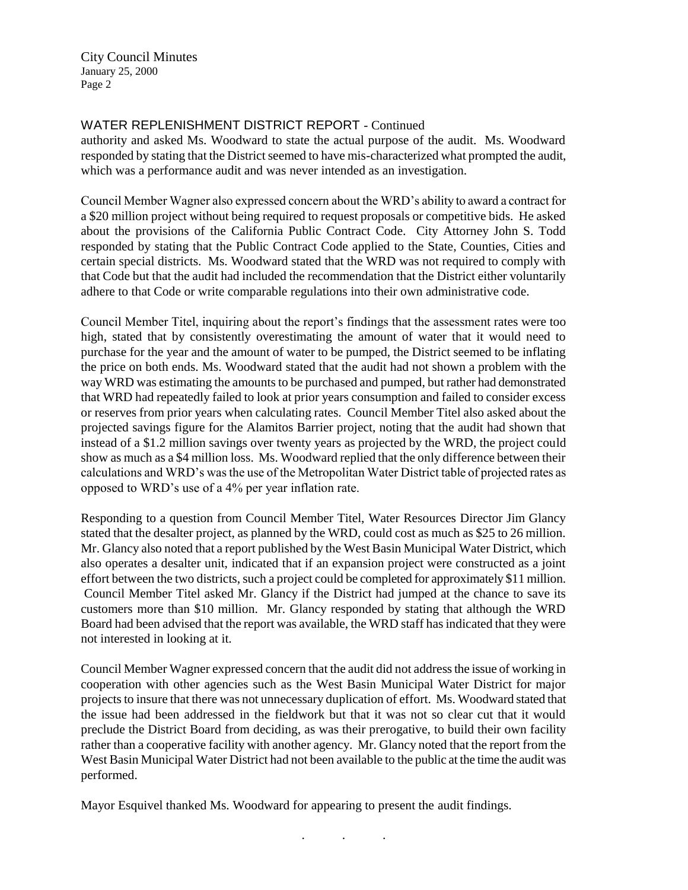### WATER REPLENISHMENT DISTRICT REPORT - Continued

authority and asked Ms. Woodward to state the actual purpose of the audit. Ms. Woodward responded by stating that the District seemed to have mis-characterized what prompted the audit, which was a performance audit and was never intended as an investigation.

Council Member Wagner also expressed concern about the WRD's ability to award a contract for a \$20 million project without being required to request proposals or competitive bids. He asked about the provisions of the California Public Contract Code. City Attorney John S. Todd responded by stating that the Public Contract Code applied to the State, Counties, Cities and certain special districts. Ms. Woodward stated that the WRD was not required to comply with that Code but that the audit had included the recommendation that the District either voluntarily adhere to that Code or write comparable regulations into their own administrative code.

Council Member Titel, inquiring about the report's findings that the assessment rates were too high, stated that by consistently overestimating the amount of water that it would need to purchase for the year and the amount of water to be pumped, the District seemed to be inflating the price on both ends. Ms. Woodward stated that the audit had not shown a problem with the way WRD was estimating the amounts to be purchased and pumped, but rather had demonstrated that WRD had repeatedly failed to look at prior years consumption and failed to consider excess or reserves from prior years when calculating rates. Council Member Titel also asked about the projected savings figure for the Alamitos Barrier project, noting that the audit had shown that instead of a \$1.2 million savings over twenty years as projected by the WRD, the project could show as much as a \$4 million loss. Ms. Woodward replied that the only difference between their calculations and WRD's was the use of the Metropolitan Water District table of projected rates as opposed to WRD's use of a 4% per year inflation rate.

Responding to a question from Council Member Titel, Water Resources Director Jim Glancy stated that the desalter project, as planned by the WRD, could cost as much as \$25 to 26 million. Mr. Glancy also noted that a report published by the West Basin Municipal Water District, which also operates a desalter unit, indicated that if an expansion project were constructed as a joint effort between the two districts, such a project could be completed for approximately \$11 million. Council Member Titel asked Mr. Glancy if the District had jumped at the chance to save its customers more than \$10 million. Mr. Glancy responded by stating that although the WRD Board had been advised that the report was available, the WRD staff has indicated that they were not interested in looking at it.

Council Member Wagner expressed concern that the audit did not address the issue of working in cooperation with other agencies such as the West Basin Municipal Water District for major projects to insure that there was not unnecessary duplication of effort. Ms. Woodward stated that the issue had been addressed in the fieldwork but that it was not so clear cut that it would preclude the District Board from deciding, as was their prerogative, to build their own facility rather than a cooperative facility with another agency. Mr. Glancy noted that the report from the West Basin Municipal Water District had not been available to the public at the time the audit was performed.

Mayor Esquivel thanked Ms. Woodward for appearing to present the audit findings.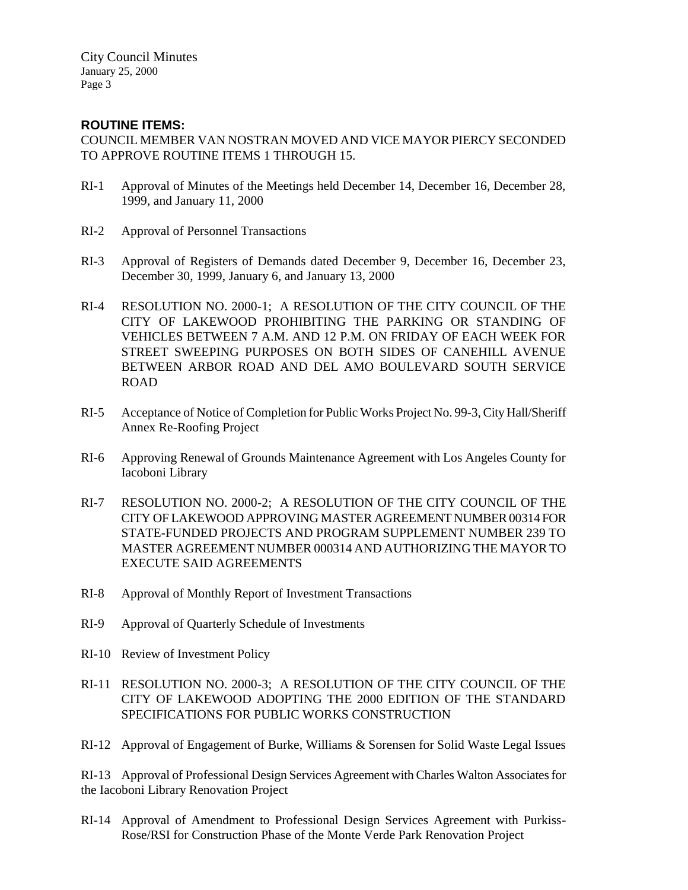#### **ROUTINE ITEMS:**

COUNCIL MEMBER VAN NOSTRAN MOVED AND VICE MAYOR PIERCY SECONDED TO APPROVE ROUTINE ITEMS 1 THROUGH 15.

- RI-1 Approval of Minutes of the Meetings held December 14, December 16, December 28, 1999, and January 11, 2000
- RI-2 Approval of Personnel Transactions
- RI-3 Approval of Registers of Demands dated December 9, December 16, December 23, December 30, 1999, January 6, and January 13, 2000
- RI-4 RESOLUTION NO. 2000-1; A RESOLUTION OF THE CITY COUNCIL OF THE CITY OF LAKEWOOD PROHIBITING THE PARKING OR STANDING OF VEHICLES BETWEEN 7 A.M. AND 12 P.M. ON FRIDAY OF EACH WEEK FOR STREET SWEEPING PURPOSES ON BOTH SIDES OF CANEHILL AVENUE BETWEEN ARBOR ROAD AND DEL AMO BOULEVARD SOUTH SERVICE ROAD
- RI-5 Acceptance of Notice of Completion for Public Works Project No. 99-3, City Hall/Sheriff Annex Re-Roofing Project
- RI-6 Approving Renewal of Grounds Maintenance Agreement with Los Angeles County for Iacoboni Library
- RI-7 RESOLUTION NO. 2000-2; A RESOLUTION OF THE CITY COUNCIL OF THE CITY OF LAKEWOOD APPROVING MASTER AGREEMENT NUMBER 00314 FOR STATE-FUNDED PROJECTS AND PROGRAM SUPPLEMENT NUMBER 239 TO MASTER AGREEMENT NUMBER 000314 AND AUTHORIZING THE MAYOR TO EXECUTE SAID AGREEMENTS
- RI-8 Approval of Monthly Report of Investment Transactions
- RI-9 Approval of Quarterly Schedule of Investments
- RI-10 Review of Investment Policy
- RI-11 RESOLUTION NO. 2000-3; A RESOLUTION OF THE CITY COUNCIL OF THE CITY OF LAKEWOOD ADOPTING THE 2000 EDITION OF THE STANDARD SPECIFICATIONS FOR PUBLIC WORKS CONSTRUCTION
- RI-12 Approval of Engagement of Burke, Williams & Sorensen for Solid Waste Legal Issues

RI-13 Approval of Professional Design Services Agreement with Charles Walton Associates for the Iacoboni Library Renovation Project

RI-14 Approval of Amendment to Professional Design Services Agreement with Purkiss-Rose/RSI for Construction Phase of the Monte Verde Park Renovation Project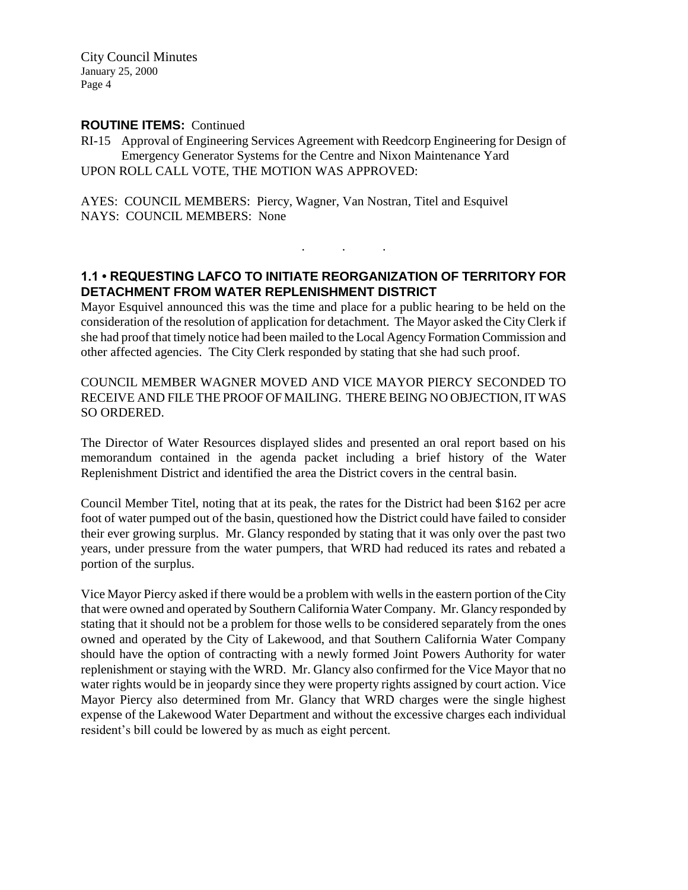#### **ROUTINE ITEMS:** Continued

RI-15 Approval of Engineering Services Agreement with Reedcorp Engineering for Design of Emergency Generator Systems for the Centre and Nixon Maintenance Yard UPON ROLL CALL VOTE, THE MOTION WAS APPROVED:

AYES: COUNCIL MEMBERS: Piercy, Wagner, Van Nostran, Titel and Esquivel NAYS: COUNCIL MEMBERS: None

# **1.1 • REQUESTING LAFCO TO INITIATE REORGANIZATION OF TERRITORY FOR DETACHMENT FROM WATER REPLENISHMENT DISTRICT**

. . .

Mayor Esquivel announced this was the time and place for a public hearing to be held on the consideration of the resolution of application for detachment. The Mayor asked the City Clerk if she had proof that timely notice had been mailed to the Local Agency Formation Commission and other affected agencies. The City Clerk responded by stating that she had such proof.

#### COUNCIL MEMBER WAGNER MOVED AND VICE MAYOR PIERCY SECONDED TO RECEIVE AND FILE THE PROOF OF MAILING. THERE BEING NO OBJECTION, IT WAS SO ORDERED.

The Director of Water Resources displayed slides and presented an oral report based on his memorandum contained in the agenda packet including a brief history of the Water Replenishment District and identified the area the District covers in the central basin.

Council Member Titel, noting that at its peak, the rates for the District had been \$162 per acre foot of water pumped out of the basin, questioned how the District could have failed to consider their ever growing surplus. Mr. Glancy responded by stating that it was only over the past two years, under pressure from the water pumpers, that WRD had reduced its rates and rebated a portion of the surplus.

Vice Mayor Piercy asked if there would be a problem with wells in the eastern portion of the City that were owned and operated by Southern California Water Company. Mr. Glancy responded by stating that it should not be a problem for those wells to be considered separately from the ones owned and operated by the City of Lakewood, and that Southern California Water Company should have the option of contracting with a newly formed Joint Powers Authority for water replenishment or staying with the WRD. Mr. Glancy also confirmed for the Vice Mayor that no water rights would be in jeopardy since they were property rights assigned by court action. Vice Mayor Piercy also determined from Mr. Glancy that WRD charges were the single highest expense of the Lakewood Water Department and without the excessive charges each individual resident's bill could be lowered by as much as eight percent.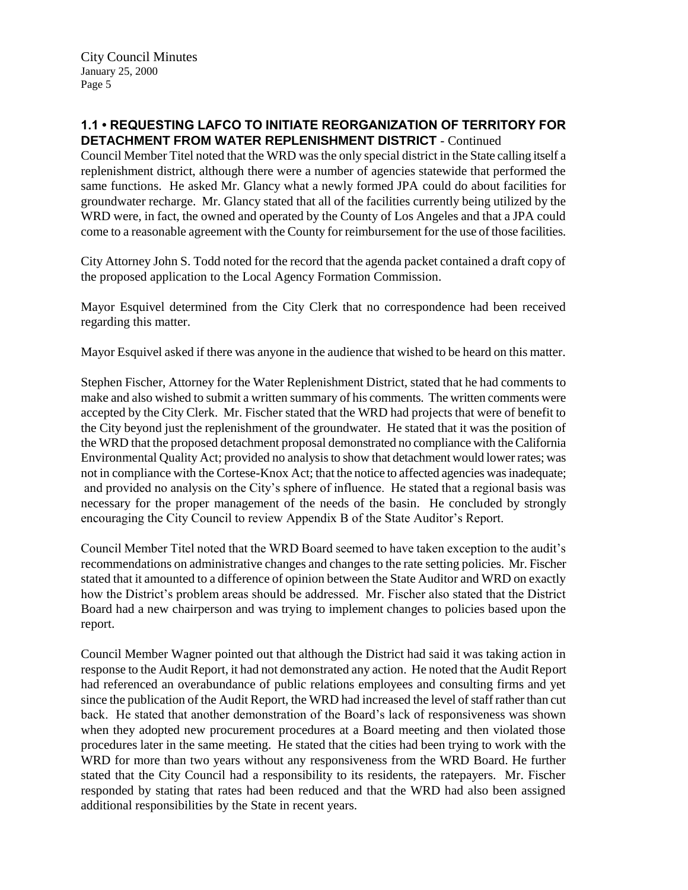### **1.1 • REQUESTING LAFCO TO INITIATE REORGANIZATION OF TERRITORY FOR DETACHMENT FROM WATER REPLENISHMENT DISTRICT** - Continued

Council Member Titel noted that the WRD was the only special district in the State calling itself a replenishment district, although there were a number of agencies statewide that performed the same functions. He asked Mr. Glancy what a newly formed JPA could do about facilities for groundwater recharge. Mr. Glancy stated that all of the facilities currently being utilized by the WRD were, in fact, the owned and operated by the County of Los Angeles and that a JPA could come to a reasonable agreement with the County for reimbursement for the use of those facilities.

City Attorney John S. Todd noted for the record that the agenda packet contained a draft copy of the proposed application to the Local Agency Formation Commission.

Mayor Esquivel determined from the City Clerk that no correspondence had been received regarding this matter.

Mayor Esquivel asked if there was anyone in the audience that wished to be heard on this matter.

Stephen Fischer, Attorney for the Water Replenishment District, stated that he had comments to make and also wished to submit a written summary of his comments. The written comments were accepted by the City Clerk. Mr. Fischer stated that the WRD had projects that were of benefit to the City beyond just the replenishment of the groundwater. He stated that it was the position of the WRD that the proposed detachment proposal demonstrated no compliance with the California Environmental Quality Act; provided no analysis to show that detachment would lower rates; was not in compliance with the Cortese-Knox Act; that the notice to affected agencies was inadequate; and provided no analysis on the City's sphere of influence. He stated that a regional basis was necessary for the proper management of the needs of the basin. He concluded by strongly encouraging the City Council to review Appendix B of the State Auditor's Report.

Council Member Titel noted that the WRD Board seemed to have taken exception to the audit's recommendations on administrative changes and changes to the rate setting policies. Mr. Fischer stated that it amounted to a difference of opinion between the State Auditor and WRD on exactly how the District's problem areas should be addressed. Mr. Fischer also stated that the District Board had a new chairperson and was trying to implement changes to policies based upon the report.

Council Member Wagner pointed out that although the District had said it was taking action in response to the Audit Report, it had not demonstrated any action. He noted that the Audit Report had referenced an overabundance of public relations employees and consulting firms and yet since the publication of the Audit Report, the WRD had increased the level of staff rather than cut back. He stated that another demonstration of the Board's lack of responsiveness was shown when they adopted new procurement procedures at a Board meeting and then violated those procedures later in the same meeting. He stated that the cities had been trying to work with the WRD for more than two years without any responsiveness from the WRD Board. He further stated that the City Council had a responsibility to its residents, the ratepayers. Mr. Fischer responded by stating that rates had been reduced and that the WRD had also been assigned additional responsibilities by the State in recent years.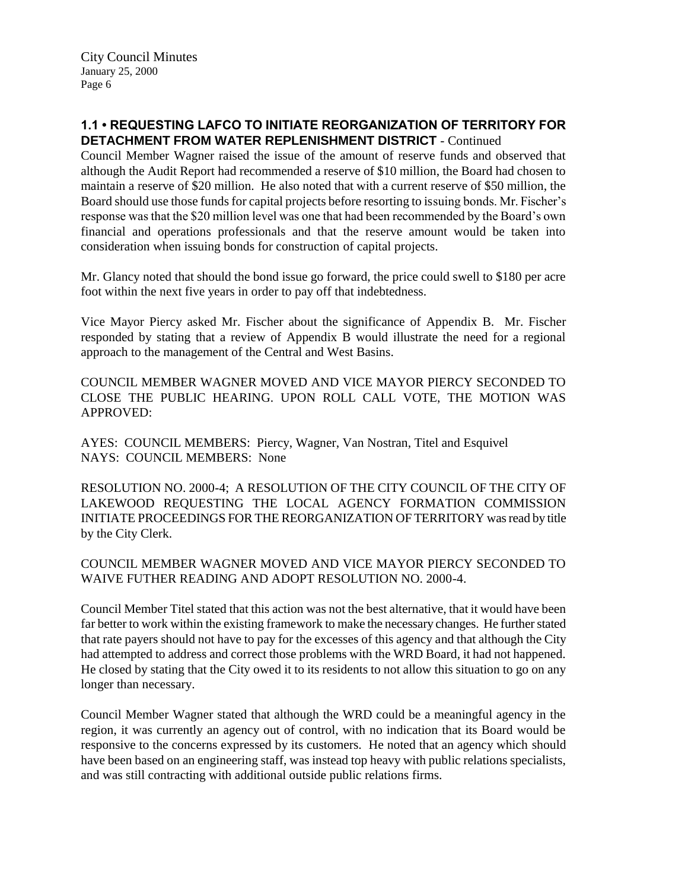### **1.1 • REQUESTING LAFCO TO INITIATE REORGANIZATION OF TERRITORY FOR DETACHMENT FROM WATER REPLENISHMENT DISTRICT** - Continued

Council Member Wagner raised the issue of the amount of reserve funds and observed that although the Audit Report had recommended a reserve of \$10 million, the Board had chosen to maintain a reserve of \$20 million. He also noted that with a current reserve of \$50 million, the Board should use those funds for capital projects before resorting to issuing bonds. Mr. Fischer's response was that the \$20 million level was one that had been recommended by the Board's own financial and operations professionals and that the reserve amount would be taken into consideration when issuing bonds for construction of capital projects.

Mr. Glancy noted that should the bond issue go forward, the price could swell to \$180 per acre foot within the next five years in order to pay off that indebtedness.

Vice Mayor Piercy asked Mr. Fischer about the significance of Appendix B. Mr. Fischer responded by stating that a review of Appendix B would illustrate the need for a regional approach to the management of the Central and West Basins.

COUNCIL MEMBER WAGNER MOVED AND VICE MAYOR PIERCY SECONDED TO CLOSE THE PUBLIC HEARING. UPON ROLL CALL VOTE, THE MOTION WAS APPROVED:

AYES: COUNCIL MEMBERS: Piercy, Wagner, Van Nostran, Titel and Esquivel NAYS: COUNCIL MEMBERS: None

RESOLUTION NO. 2000-4; A RESOLUTION OF THE CITY COUNCIL OF THE CITY OF LAKEWOOD REQUESTING THE LOCAL AGENCY FORMATION COMMISSION INITIATE PROCEEDINGS FOR THE REORGANIZATION OF TERRITORY was read by title by the City Clerk.

#### COUNCIL MEMBER WAGNER MOVED AND VICE MAYOR PIERCY SECONDED TO WAIVE FUTHER READING AND ADOPT RESOLUTION NO. 2000-4.

Council Member Titel stated that this action was not the best alternative, that it would have been far better to work within the existing framework to make the necessary changes. He further stated that rate payers should not have to pay for the excesses of this agency and that although the City had attempted to address and correct those problems with the WRD Board, it had not happened. He closed by stating that the City owed it to its residents to not allow this situation to go on any longer than necessary.

Council Member Wagner stated that although the WRD could be a meaningful agency in the region, it was currently an agency out of control, with no indication that its Board would be responsive to the concerns expressed by its customers. He noted that an agency which should have been based on an engineering staff, was instead top heavy with public relations specialists, and was still contracting with additional outside public relations firms.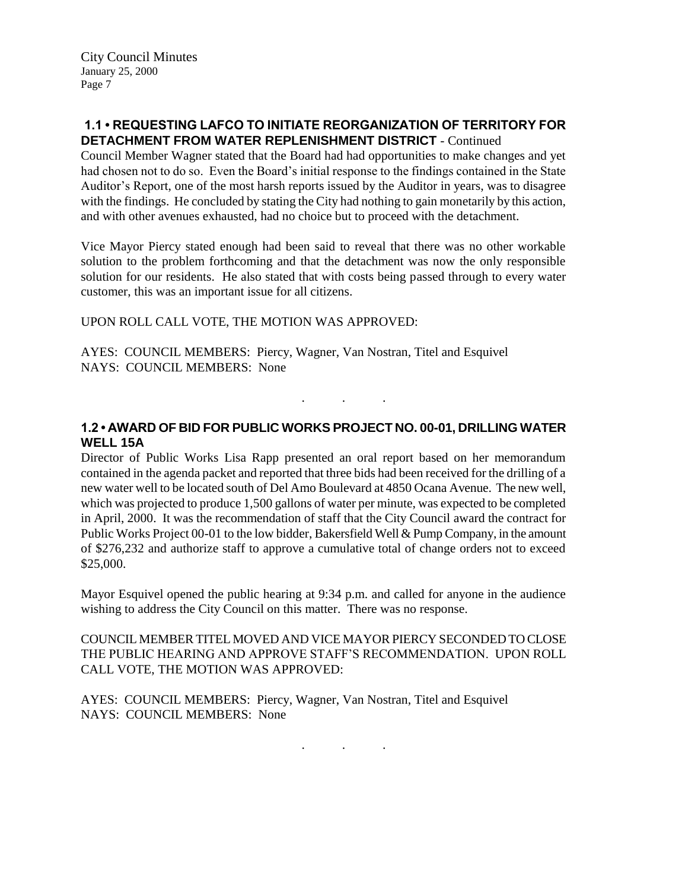### **1.1 • REQUESTING LAFCO TO INITIATE REORGANIZATION OF TERRITORY FOR DETACHMENT FROM WATER REPLENISHMENT DISTRICT** - Continued

Council Member Wagner stated that the Board had had opportunities to make changes and yet had chosen not to do so. Even the Board's initial response to the findings contained in the State Auditor's Report, one of the most harsh reports issued by the Auditor in years, was to disagree with the findings. He concluded by stating the City had nothing to gain monetarily by this action, and with other avenues exhausted, had no choice but to proceed with the detachment.

Vice Mayor Piercy stated enough had been said to reveal that there was no other workable solution to the problem forthcoming and that the detachment was now the only responsible solution for our residents. He also stated that with costs being passed through to every water customer, this was an important issue for all citizens.

#### UPON ROLL CALL VOTE, THE MOTION WAS APPROVED:

AYES: COUNCIL MEMBERS: Piercy, Wagner, Van Nostran, Titel and Esquivel NAYS: COUNCIL MEMBERS: None

### **1.2 • AWARD OF BID FOR PUBLIC WORKS PROJECT NO. 00-01, DRILLING WATER WELL 15A**

. . .

Director of Public Works Lisa Rapp presented an oral report based on her memorandum contained in the agenda packet and reported that three bids had been received for the drilling of a new water well to be located south of Del Amo Boulevard at 4850 Ocana Avenue. The new well, which was projected to produce 1,500 gallons of water per minute, was expected to be completed in April, 2000. It was the recommendation of staff that the City Council award the contract for Public Works Project 00-01 to the low bidder, Bakersfield Well & Pump Company, in the amount of \$276,232 and authorize staff to approve a cumulative total of change orders not to exceed \$25,000.

Mayor Esquivel opened the public hearing at 9:34 p.m. and called for anyone in the audience wishing to address the City Council on this matter. There was no response.

COUNCIL MEMBER TITEL MOVED AND VICE MAYOR PIERCY SECONDED TO CLOSE THE PUBLIC HEARING AND APPROVE STAFF'S RECOMMENDATION. UPON ROLL CALL VOTE, THE MOTION WAS APPROVED:

AYES: COUNCIL MEMBERS: Piercy, Wagner, Van Nostran, Titel and Esquivel NAYS: COUNCIL MEMBERS: None

. . .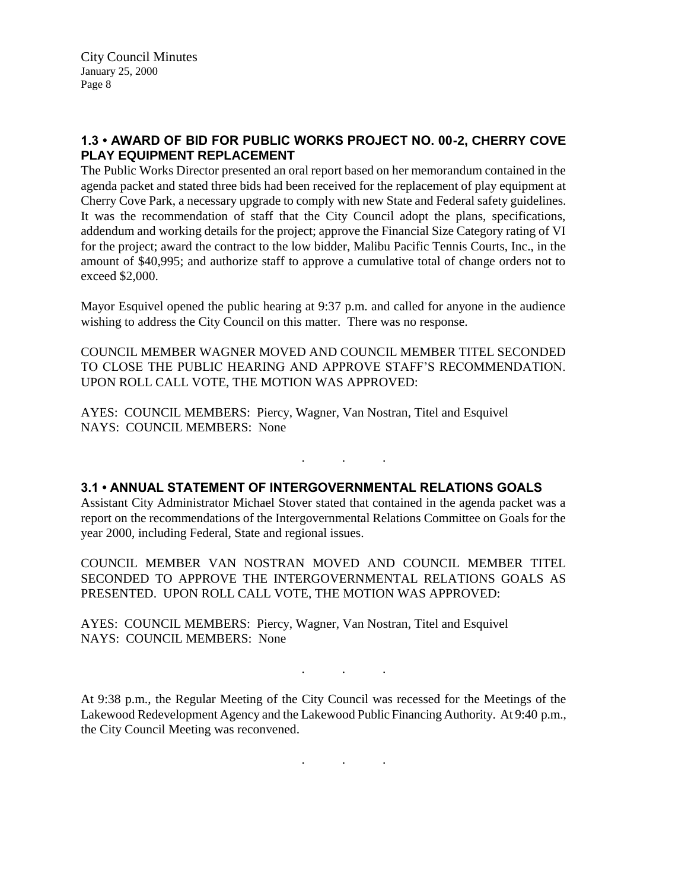### **1.3 • AWARD OF BID FOR PUBLIC WORKS PROJECT NO. 00-2, CHERRY COVE PLAY EQUIPMENT REPLACEMENT**

The Public Works Director presented an oral report based on her memorandum contained in the agenda packet and stated three bids had been received for the replacement of play equipment at Cherry Cove Park, a necessary upgrade to comply with new State and Federal safety guidelines. It was the recommendation of staff that the City Council adopt the plans, specifications, addendum and working details for the project; approve the Financial Size Category rating of VI for the project; award the contract to the low bidder, Malibu Pacific Tennis Courts, Inc., in the amount of \$40,995; and authorize staff to approve a cumulative total of change orders not to exceed \$2,000.

Mayor Esquivel opened the public hearing at 9:37 p.m. and called for anyone in the audience wishing to address the City Council on this matter. There was no response.

COUNCIL MEMBER WAGNER MOVED AND COUNCIL MEMBER TITEL SECONDED TO CLOSE THE PUBLIC HEARING AND APPROVE STAFF'S RECOMMENDATION. UPON ROLL CALL VOTE, THE MOTION WAS APPROVED:

AYES: COUNCIL MEMBERS: Piercy, Wagner, Van Nostran, Titel and Esquivel NAYS: COUNCIL MEMBERS: None

. . .

#### **3.1 • ANNUAL STATEMENT OF INTERGOVERNMENTAL RELATIONS GOALS**

Assistant City Administrator Michael Stover stated that contained in the agenda packet was a report on the recommendations of the Intergovernmental Relations Committee on Goals for the year 2000, including Federal, State and regional issues.

COUNCIL MEMBER VAN NOSTRAN MOVED AND COUNCIL MEMBER TITEL SECONDED TO APPROVE THE INTERGOVERNMENTAL RELATIONS GOALS AS PRESENTED. UPON ROLL CALL VOTE, THE MOTION WAS APPROVED:

AYES: COUNCIL MEMBERS: Piercy, Wagner, Van Nostran, Titel and Esquivel NAYS: COUNCIL MEMBERS: None

At 9:38 p.m., the Regular Meeting of the City Council was recessed for the Meetings of the Lakewood Redevelopment Agency and the Lakewood Public Financing Authority. At 9:40 p.m., the City Council Meeting was reconvened.

. . .

. . .